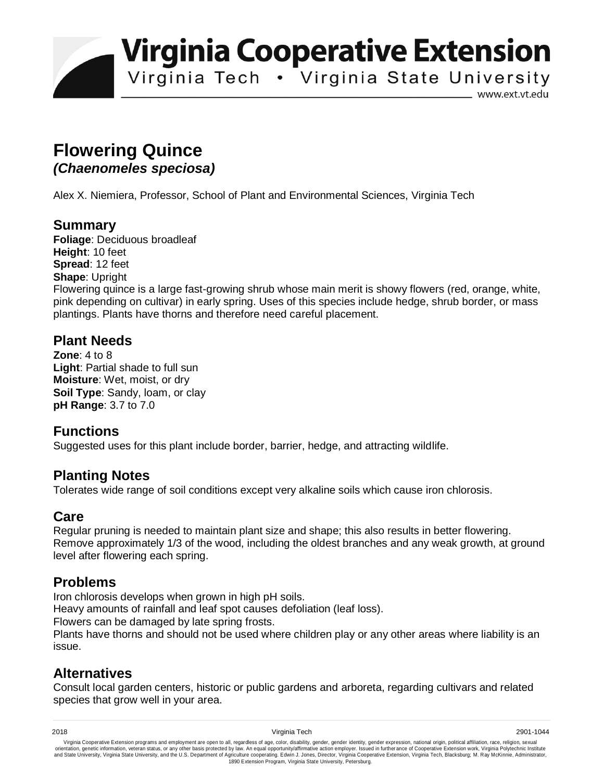**Virginia Cooperative Extension** 

Virginia Tech . Virginia State University

www.ext.vt.edu

# **Flowering Quince**  *(Chaenomeles speciosa)*

Alex X. Niemiera, Professor, School of Plant and Environmental Sciences, Virginia Tech

### **Summary**

**Foliage**: Deciduous broadleaf **Height**: 10 feet **Spread**: 12 feet **Shape**: Upright Flowering quince is a large fast-growing shrub whose main merit is showy flowers (red, orange, white, pink depending on cultivar) in early spring. Uses of this species include hedge, shrub border, or mass plantings. Plants have thorns and therefore need careful placement.

#### **Plant Needs**

**Zone**: 4 to 8 **Light**: Partial shade to full sun **Moisture**: Wet, moist, or dry **Soil Type**: Sandy, loam, or clay **pH Range**: 3.7 to 7.0

## **Functions**

Suggested uses for this plant include border, barrier, hedge, and attracting wildlife.

#### **Planting Notes**

Tolerates wide range of soil conditions except very alkaline soils which cause iron chlorosis.

## **Care**

Regular pruning is needed to maintain plant size and shape; this also results in better flowering. Remove approximately 1/3 of the wood, including the oldest branches and any weak growth, at ground level after flowering each spring.

#### **Problems**

Iron chlorosis develops when grown in high pH soils.

Heavy amounts of rainfall and leaf spot causes defoliation (leaf loss).

Flowers can be damaged by late spring frosts.

Plants have thorns and should not be used where children play or any other areas where liability is an issue.

#### **Alternatives**

Consult local garden centers, historic or public gardens and arboreta, regarding cultivars and related species that grow well in your area.